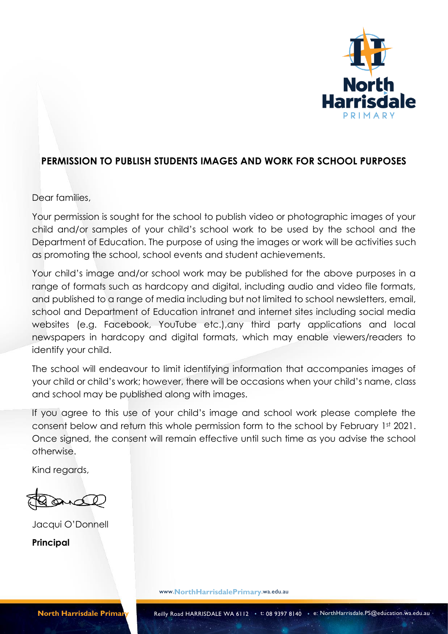

## **PERMISSION TO PUBLISH STUDENTS IMAGES AND WORK FOR SCHOOL PURPOSES**

Dear families,

Your permission is sought for the school to publish video or photographic images of your child and/or samples of your child's school work to be used by the school and the Department of Education. The purpose of using the images or work will be activities such as promoting the school, school events and student achievements.

Your child's image and/or school work may be published for the above purposes in a range of formats such as hardcopy and digital, including audio and video file formats, and published to a range of media including but not limited to school newsletters, email, school and Department of Education intranet and internet sites including social media websites (e.g. Facebook, YouTube etc.),any third party applications and local newspapers in hardcopy and digital formats, which may enable viewers/readers to identify your child.

The school will endeavour to limit identifying information that accompanies images of your child or child's work; however, there will be occasions when your child's name, class and school may be published along with images.

If you agree to this use of your child's image and school work please complete the consent below and return this whole permission form to the school by February 1st 2021. Once signed, the consent will remain effective until such time as you advise the school otherwise.

Kind regards,

Jacqui O'Donnell **Principal**

www.**NorthHarrisdalePrimary**.wa.edu.au